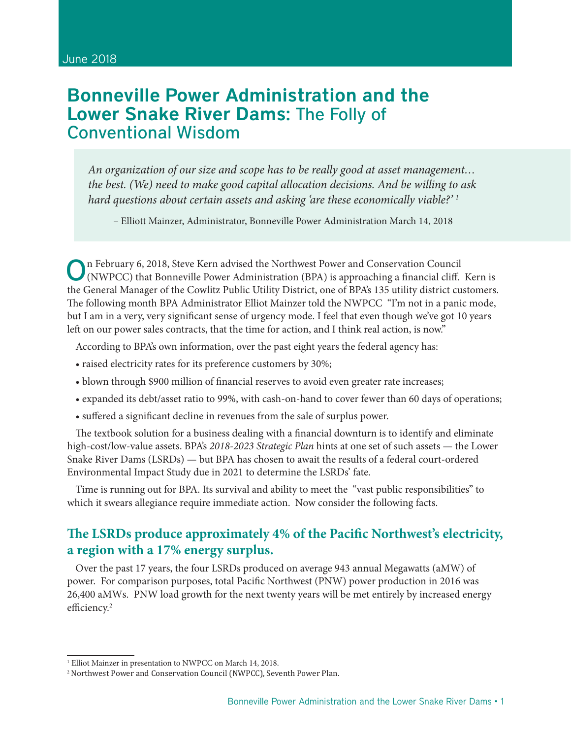# Bonneville Power Administration and the Lower Snake River Dams: The Folly of Conventional Wisdom

*An organization of our size and scope has to be really good at asset management… the best. (We) need to make good capital allocation decisions. And be willing to ask hard questions about certain assets and asking 'are these economically viable?' 1*

– Elliott Mainzer, Administrator, Bonneville Power Administration March 14, 2018

On February 6, 2018, Steve Kern advised the Northwest Power and Conservation Council (NWPCC) that Bonneville Power Administration (BPA) is approaching a financial cliff. Kern is the General Manager of the Cowlitz Public Utility District, one of BPA's 135 utility district customers. The following month BPA Administrator Elliot Mainzer told the NWPCC "I'm not in a panic mode, but I am in a very, very significant sense of urgency mode. I feel that even though we've got 10 years left on our power sales contracts, that the time for action, and I think real action, is now."

According to BPA's own information, over the past eight years the federal agency has:

- raised electricity rates for its preference customers by 30%;
- blown through \$900 million of financial reserves to avoid even greater rate increases;
- expanded its debt/asset ratio to 99%, with cash-on-hand to cover fewer than 60 days of operations;
- suffered a significant decline in revenues from the sale of surplus power.

The textbook solution for a business dealing with a financial downturn is to identify and eliminate high-cost/low-value assets. BPA's *2018-2023 Strategic Plan* hints at one set of such assets — the Lower Snake River Dams (LSRDs) — but BPA has chosen to await the results of a federal court-ordered Environmental Impact Study due in 2021 to determine the LSRDs' fate.

Time is running out for BPA. Its survival and ability to meet the "vast public responsibilities" to which it swears allegiance require immediate action. Now consider the following facts.

### **The LSRDs produce approximately 4% of the Pacific Northwest's electricity, a region with a 17% energy surplus.**

Over the past 17 years, the four LSRDs produced on average 943 annual Megawatts (aMW) of power. For comparison purposes, total Pacific Northwest (PNW) power production in 2016 was 26,400 aMWs. PNW load growth for the next twenty years will be met entirely by increased energy efficiency.<sup>2</sup>

<sup>&</sup>lt;sup>1</sup> Elliot Mainzer in presentation to NWPCC on March 14, 2018.

<sup>2</sup> Northwest Power and Conservation Council (NWPCC), Seventh Power Plan.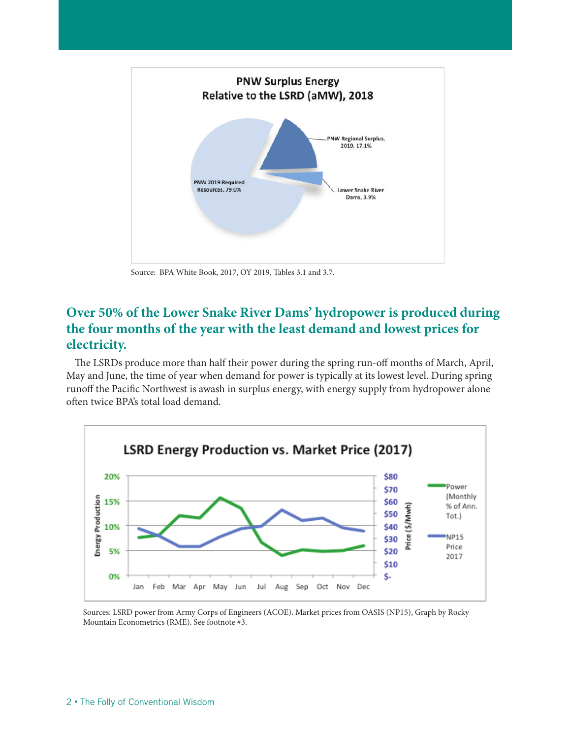

Source: BPA White Book, 2017, OY 2019, Tables 3.1 and 3.7.

# **Over 50% of the Lower Snake River Dams' hydropower is produced during the four months of the year with the least demand and lowest prices for electricity.**

The LSRDs produce more than half their power during the spring run-off months of March, April, May and June, the time of year when demand for power is typically at its lowest level. During spring runoff the Pacific Northwest is awash in surplus energy, with energy supply from hydropower alone often twice BPA's total load demand.



Sources: LSRD power from Army Corps of Engineers (ACOE). Market prices from OASIS (NP15), Graph by Rocky Mountain Econometrics (RME). See footnote #3.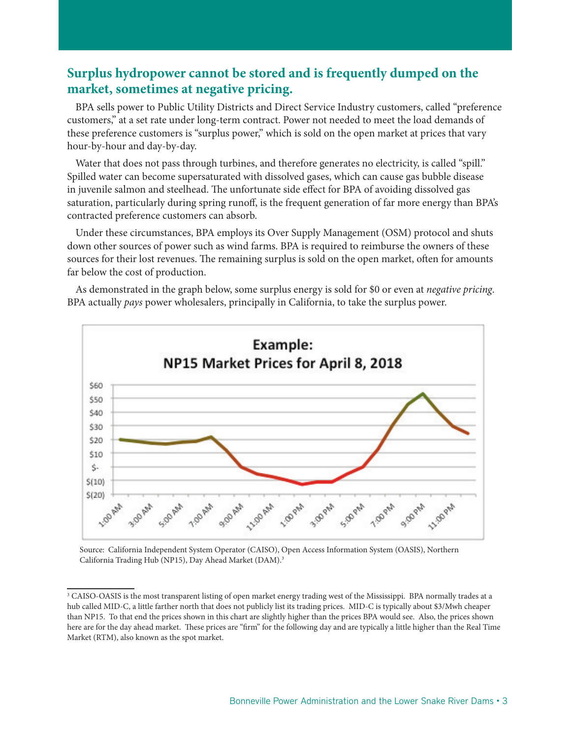# **Surplus hydropower cannot be stored and is frequently dumped on the market, sometimes at negative pricing.**

BPA sells power to Public Utility Districts and Direct Service Industry customers, called "preference customers," at a set rate under long-term contract. Power not needed to meet the load demands of these preference customers is "surplus power," which is sold on the open market at prices that vary hour-by-hour and day-by-day.

Water that does not pass through turbines, and therefore generates no electricity, is called "spill." Spilled water can become supersaturated with dissolved gases, which can cause gas bubble disease in juvenile salmon and steelhead. The unfortunate side effect for BPA of avoiding dissolved gas saturation, particularly during spring runoff, is the frequent generation of far more energy than BPA's contracted preference customers can absorb.

Under these circumstances, BPA employs its Over Supply Management (OSM) protocol and shuts down other sources of power such as wind farms. BPA is required to reimburse the owners of these sources for their lost revenues. The remaining surplus is sold on the open market, often for amounts far below the cost of production.

As demonstrated in the graph below, some surplus energy is sold for \$0 or even at *negative pricing*. BPA actually *pays* power wholesalers, principally in California, to take the surplus power.



Source: California Independent System Operator (CAISO), Open Access Information System (OASIS), Northern California Trading Hub (NP15), Day Ahead Market (DAM).<sup>3</sup>

<sup>3</sup> CAISO-OASIS is the most transparent listing of open market energy trading west of the Mississippi. BPA normally trades at a hub called MID-C, a little farther north that does not publicly list its trading prices. MID-C is typically about \$3/Mwh cheaper than NP15. To that end the prices shown in this chart are slightly higher than the prices BPA would see. Also, the prices shown here are for the day ahead market. These prices are "firm" for the following day and are typically a little higher than the Real Time Market (RTM), also known as the spot market.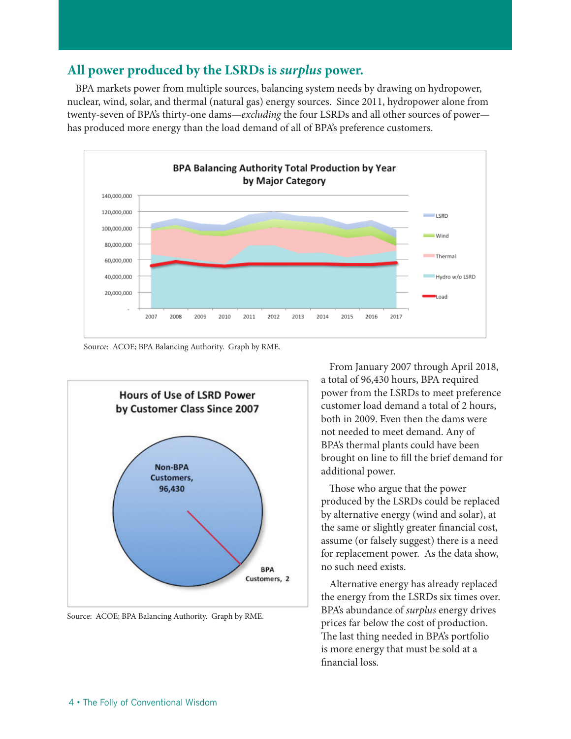# **All power produced by the LSRDs is** *surplus* **power.**

BPA markets power from multiple sources, balancing system needs by drawing on hydropower, nuclear, wind, solar, and thermal (natural gas) energy sources. Since 2011, hydropower alone from twenty-seven of BPA's thirty-one dams—*excluding* the four LSRDs and all other sources of power has produced more energy than the load demand of all of BPA's preference customers.



Source: ACOE; BPA Balancing Authority. Graph by RME.



Source: ACOE; BPA Balancing Authority. Graph by RME.

From January 2007 through April 2018, a total of 96,430 hours, BPA required power from the LSRDs to meet preference customer load demand a total of 2 hours, both in 2009. Even then the dams were not needed to meet demand. Any of BPA's thermal plants could have been brought on line to fill the brief demand for additional power.

Those who argue that the power produced by the LSRDs could be replaced by alternative energy (wind and solar), at the same or slightly greater financial cost, assume (or falsely suggest) there is a need for replacement power. As the data show, no such need exists.

Alternative energy has already replaced the energy from the LSRDs six times over. BPA's abundance of *surplus* energy drives prices far below the cost of production. The last thing needed in BPA's portfolio is more energy that must be sold at a financial loss.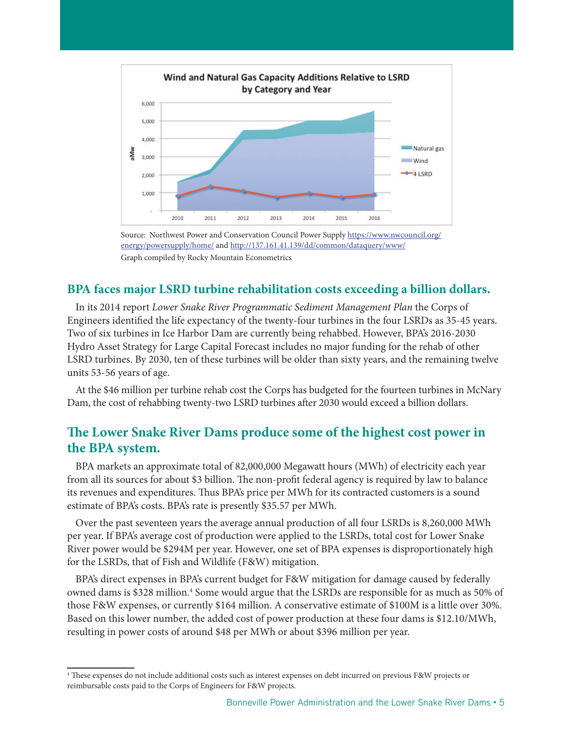

Source: Northwest Power and Conservation Council Power Supply https://www.nwcouncil.org/ energy/powersupply/home/ and http://137.161.41.139/dd/common/dataquery/www/ Graph compiled by Rocky Mountain Econometrics

#### **BPA faces major LSRD turbine rehabilitation costs exceeding a billion dollars.**

In its 2014 report *Lower Snake River Programmatic Sediment Management Plan* the Corps of Engineers identified the life expectancy of the twenty-four turbines in the four LSRDs as 35-45 years. Two of six turbines in Ice Harbor Dam are currently being rehabbed. However, BPA's 2016-2030 Hydro Asset Strategy for Large Capital Forecast includes no major funding for the rehab of other LSRD turbines. By 2030, ten of these turbines will be older than sixty years, and the remaining twelve units 53-56 years of age.

At the \$46 million per turbine rehab cost the Corps has budgeted for the fourteen turbines in McNary Dam, the cost of rehabbing twenty-two LSRD turbines after 2030 would exceed a billion dollars.

# **The Lower Snake River Dams produce some of the highest cost power in the BPA system.**

BPA markets an approximate total of 82,000,000 Megawatt hours (MWh) of electricity each year from all its sources for about \$3 billion. The non-profit federal agency is required by law to balance its revenues and expenditures. Thus BPA's price per MWh for its contracted customers is a sound estimate of BPA's costs. BPA's rate is presently \$35.57 per MWh.

Over the past seventeen years the average annual production of all four LSRDs is 8,260,000 MWh per year. If BPA's average cost of production were applied to the LSRDs, total cost for Lower Snake River power would be \$294M per year. However, one set of BPA expenses is disproportionately high for the LSRDs, that of Fish and Wildlife (F&W) mitigation.

BPA's direct expenses in BPA's current budget for F&W mitigation for damage caused by federally owned dams is \$328 million.<sup>4</sup> Some would argue that the LSRDs are responsible for as much as 50% of those F&W expenses, or currently \$164 million. A conservative estimate of \$100M is a little over 30%. Based on this lower number, the added cost of power production at these four dams is \$12.10/MWh, resulting in power costs of around \$48 per MWh or about \$396 million per year.

<sup>4</sup> These expenses do not include additional costs such as interest expenses on debt incurred on previous F&W projects or reimbursable costs paid to the Corps of Engineers for F&W projects.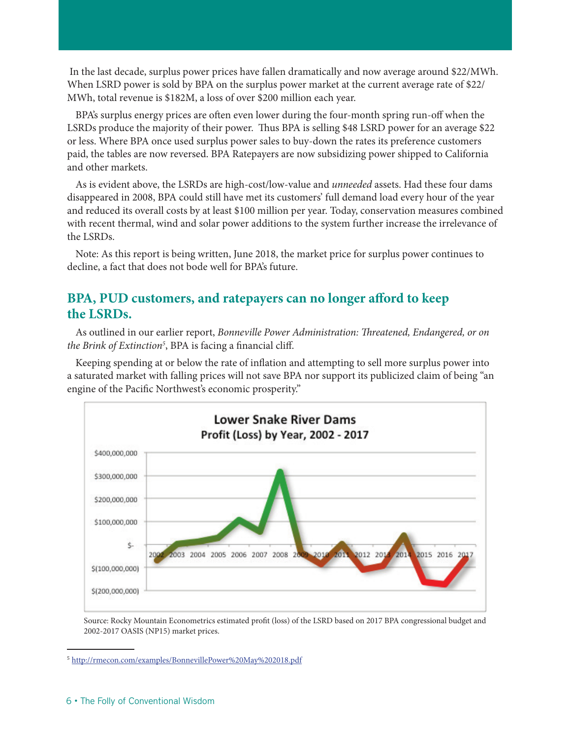In the last decade, surplus power prices have fallen dramatically and now average around \$22/MWh. When LSRD power is sold by BPA on the surplus power market at the current average rate of \$22/ MWh, total revenue is \$182M, a loss of over \$200 million each year.

BPA's surplus energy prices are often even lower during the four-month spring run-off when the LSRDs produce the majority of their power. Thus BPA is selling \$48 LSRD power for an average \$22 or less. Where BPA once used surplus power sales to buy-down the rates its preference customers paid, the tables are now reversed. BPA Ratepayers are now subsidizing power shipped to California and other markets.

As is evident above, the LSRDs are high-cost/low-value and *unneeded* assets. Had these four dams disappeared in 2008, BPA could still have met its customers' full demand load every hour of the year and reduced its overall costs by at least \$100 million per year. Today, conservation measures combined with recent thermal, wind and solar power additions to the system further increase the irrelevance of the LSRDs.

Note: As this report is being written, June 2018, the market price for surplus power continues to decline, a fact that does not bode well for BPA's future.

# **BPA, PUD customers, and ratepayers can no longer afford to keep the LSRDs.**

As outlined in our earlier report, *Bonneville Power Administration: Threatened, Endangered, or on the Brink of Extinction5* , BPA is facing a financial cliff.

Keeping spending at or below the rate of inflation and attempting to sell more surplus power into a saturated market with falling prices will not save BPA nor support its publicized claim of being "an engine of the Pacific Northwest's economic prosperity."



Source: Rocky Mountain Econometrics estimated profit (loss) of the LSRD based on 2017 BPA congressional budget and 2002-2017 OASIS (NP15) market prices.

<sup>5</sup> http://rmecon.com/examples/BonnevillePower%20May%202018.pdf